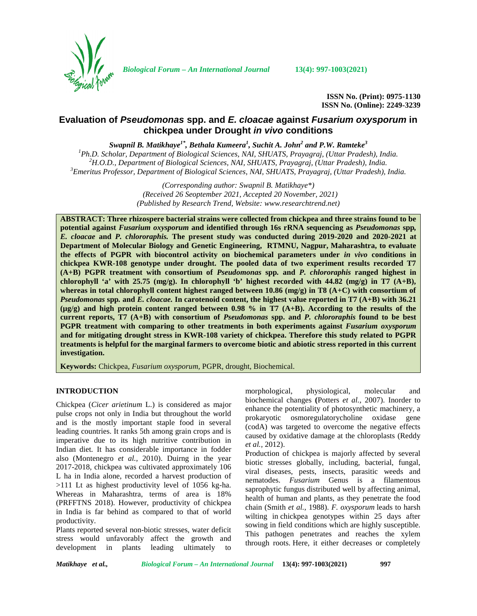

*Biological Forum – An International Journal* **13(4): 997-1003(2021)**

**ISSN No. (Print): 0975-1130 ISSN No. (Online): 2249-3239**

# **Evaluation of** *Pseudomonas* **spp. and** *E. cloacae* **against** *Fusarium oxysporum* **in chickpea under Drought** *in vivo* **conditions**

*Swapnil B. Matikhaye1\* , Bethala Kumeera<sup>1</sup> , Suchit A. John<sup>2</sup> and P.W. Ramteke<sup>3</sup>*

<sup>1</sup>Ph.D. Scholar, Department of Biological Sciences, NAI, SHUATS, Prayagraj, (Uttar Pradesh), India.<br><sup>2</sup>H.O.D., Department of Biological Sciences, NAI, SHUATS, Prayagraj, (Uttar Pradesh), India.<br><sup>3</sup>Emeritus Professor, Dep

*(Corresponding author: Swapnil B. Matikhaye\*) (Received 26 Seoptember 2021, Accepted 20 November, 2021) (Published by Research Trend, Website: [www.researchtrend.net\)](www.researchtrend.net)*

**ABSTRACT: Three rhizospere bacterial strains were collected from chickpea and three strains found to be potential against** *Fusarium oxysporum* **and identified through 16s rRNA sequencing as** *Pseudomonas* **spp***, E. cloacae* **and** *P. chlororaphis.* **The present study was conducted during 2019-2020 and 2020-2021 at Department of Molecular Biology and Genetic Engineering, RTMNU, Nagpur, Maharashtra, to evaluate the effects of PGPR with biocontrol activity on biochemical parameters under** *in vivo* **conditions in chickpea KWR-108 genotype under drought. The pooled data of two experiment results recorded T7 (A+B) PGPR treatment with consortium of** *Pseudomonas* **spp***.* **and** *P. chlororaphis* **ranged highest in chlorophyll 'a' with 25.75 (mg/g). In chlorophyll 'b' highest recorded with 44.82 (mg/g) in T7 (A+B), whereas in total chlorophyll content highest ranged between 10.86 (mg/g) in T8 (A+C) with consortium of** *Pseudomonas* **spp***.* **and** *E. cloacae.* **In carotenoid content, the highest value reported in T7 (A+B) with 36.21 (µg/g) and high protein content ranged between 0.98 % in T7 (A+B). According to the results of the current reports, T7 (A+B) with consortium of** *Pseudomonas* **spp. and** *P. chlororaphis* **found to be best PGPR treatment with comparing to other treatments in both experiments against** *Fusarium oxysporum* **and for mitigating drought stress in KWR-108 variety of chickpea. Therefore this study related to PGPR treatments is helpful for the marginal farmers to overcome biotic and abiotic stress reported in this current investigation.**

**Keywords:** Chickpea, *Fusarium oxysporum,* PGPR, drought, Biochemical.

## **INTRODUCTION**

Chickpea (*Cicer arietinum* L.) is considered as major pulse crops not only in India but throughout the world and is the mostly important staple food in several leading countries. It ranks 5th among grain crops and is imperative due to its high nutritive contribution in Indian diet. It has considerable importance in fodder also (Montenegro *et al.,* 2010). Duirng in the year 2017-2018, chickpea was cultivated approximately 106 L ha in India alone, recorded a harvest production of >111 Lt as highest productivity level of 1056 kg-ha. Whereas in Maharashtra, terms of area is 18% (PRFFTNS 2018). However, productivity of chickpea in India is far behind as compared to that of world productivity.

Plants reported several non-biotic stresses, water deficit stress would unfavorably affect the growth and development in plants leading ultimately to

morphological, physiological, molecular and biochemical changes **(**Potters *et al.,* 2007). Inorder to enhance the potentiality of photosynthetic machinery, a prokaryotic osmoregulatorycholine oxidase gene (codA) was targeted to overcome the negative effects caused by oxidative damage at the chloroplasts (Reddy *et al.,* 2012).

Production of chickpea is majorly affected by several biotic stresses globally, including, bacterial, fungal, viral diseases, pests, insects, parasitic weeds and nematodes. *Fusarium* Genus is a filamentous saprophytic fungus distributed well by affecting animal, health of human and plants, as they penetrate the food chain (Smith *et al.,* 1988). *F. oxysporum* leads to harsh wilting in chickpea genotypes within 25 days after sowing in field conditions which are highly susceptible. This pathogen penetrates and reaches the xylem through roots. Here, it either decreases or completely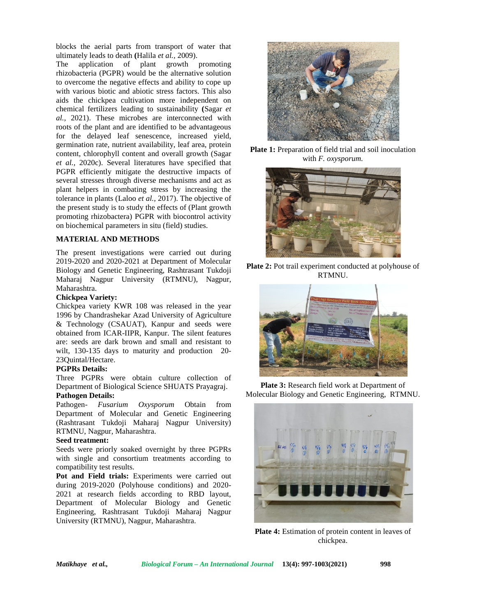blocks the aerial parts from transport of water that ultimately leads to death **(**Halila *et al.,* 2009).

The application of plant growth promoting rhizobacteria (PGPR) would be the alternative solution to overcome the negative effects and ability to cope up with various biotic and abiotic stress factors. This also aids the chickpea cultivation more independent on chemical fertilizers leading to sustainability **(**Sagar *et al.,* 2021). These microbes are interconnected with roots of the plant and are identified to be advantageous for the delayed leaf senescence, increased yield, germination rate, nutrient availability, leaf area, protein content, chlorophyll content and overall growth (Sagar *et al.,* 2020c). Several literatures have specified that PGPR efficiently mitigate the destructive impacts of several stresses through diverse mechanisms and act as plant helpers in combating stress by increasing the tolerance in plants (Laloo *et al.,* 2017). The objective of the present study is to study the effects of (Plant growth promoting rhizobactera) PGPR with biocontrol activity on biochemical parameters in situ (field) studies.

### **MATERIAL AND METHODS**

The present investigations were carried out during 2019-2020 and 2020-2021 at Department of Molecular Biology and Genetic Engineering, Rashtrasant Tukdoji Maharaj Nagpur University (RTMNU), Nagpur, Maharashtra.

### **Chickpea Variety:**

Chickpea variety KWR 108 was released in the year 1996 by Chandrashekar Azad University of Agriculture & Technology (CSAUAT), Kanpur and seeds were obtained from ICAR-IIPR, Kanpur. The silent features are: seeds are dark brown and small and resistant to wilt, 130-135 days to maturity and production 20-23Quintal/Hectare.

## **PGPRs Details:**

Three PGPRs were obtain culture collection of Department of Biological Science SHUATS Prayagraj.

### **Pathogen Details:**

Pathogen- *Fusarium Oxysporum* Obtain from Department of Molecular and Genetic Engineering (Rashtrasant Tukdoji Maharaj Nagpur University) RTMNU, Nagpur, Maharashtra.

### **Seed treatment:**

Seeds were priorly soaked overnight by three PGPRs with single and consortium treatments according to compatibility test results.

**Pot and Field trials:** Experiments were carried out during 2019-2020 (Polyhouse conditions) and 2020- 2021 at research fields according to RBD layout, Department of Molecular Biology and Genetic Engineering, Rashtrasant Tukdoji Maharaj Nagpur University (RTMNU), Nagpur, Maharashtra.



**Plate 1:** Preparation of field trial and soil inoculation with *F. oxysporum.*



**Plate 2:** Pot trail experiment conducted at polyhouse of RTMNU.



**Plate 3:** Research field work at Department of Molecular Biology and Genetic Engineering, RTMNU.



**Plate 4:** Estimation of protein content in leaves of chickpea.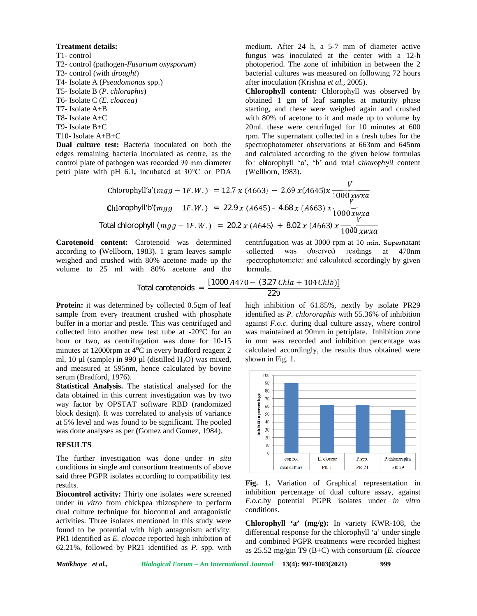### **Treatment details:**

T1- control T2- control (pathogen-*Fusarium oxysporum*) T3- control (with *drought*) T4- Isolate A (*Pseudomonas* spp*.*) T5- Isolate B (*P. chloraphis*) T6- Isolate C (*E. cloacea*) T7- Isolate A+B T8- Isolate A+C T9- Isolate B+C T10- Isolate A+B+C

**Dual culture test:** Bacteria inoculated on both the edges remaining bacteria inoculated as centre, as the control plate of pathogen was recorded 90 mm diameter petri plate with pH 6.1*,* incubated at 30°C on PDA medium. After 24 h, a 5-7 mm of diameter active fungus was inoculated at the center with a 12-h photoperiod. The zone of inhibition in between the 2 bacterial cultures was measured on following 72 hours after inoculation (Krishna *et al.,* 2005).

**Chlorophyll content:** Chlorophyll was observed by obtained 1 gm of leaf samples at maturity phase starting, and these were weighed again and crushed with 80% of acetone to it and made up to volume by 20ml. these were centrifuged for 10 minutes at 600 rpm. The supernatant collected in a fresh tubes for the spectrophotometer observations at 663nm and 645nm and calculated according to the given below formulas for chlorophyll 'a', 'b' and total chlorophyll content **(**Wellborn, 1983).

Chlorophyll'a' (mgg – 1F.W.) = 12.7 x (A663) – 2.69 x(A645)x 
$$
\frac{V}{1000 \text{ x}wxa}
$$
  
\nChlorophyll'b' (mgg – 1F.W.) = 22.9 x (A645) – 4.68 x (A663) x  $\frac{V}{1000 \text{ x}wxa}$   
\nTotal chlorophyll (*mgg – 1F.W.*) = 20.2 x (A645) + 8.02 x (A663) x  $\frac{V}{1000 \text{ x}wxa}$ 

**Carotenoid content:** Carotenoid was determined according to **(**Wellborn, 1983). 1 gram leaves sample weighed and crushed with 80% acetone made up the volume to 25 ml with 80% acetone and the

centrifugation was at 3000 rpm at 10 min. Supernatant was observed readings at 470nm spectrophotometer and calculated accordingly by given formula.

Total carotenoids = 
$$
\frac{[1000 A470 - (3.27 Chla + 104 Chlb)]}{229}
$$

**Protein:** it was determined by collected 0.5gm of leaf sample from every treatment crushed with phosphate buffer in a mortar and pestle. This was centrifuged and collected into another new test tube at -20°C for an hour or two, as centrifugation was done for 10-15 minutes at 12000rpm at  $4^{\circ}$ C in every bradford reagent 2 ml, 10  $\mu$ l (sample) in 990  $\mu$ l (distilled H<sub>2</sub>O) was mixed, and measured at 595nm, hence calculated by bovine serum (Bradford, 1976).

**Statistical Analysis.** The statistical analysed for the data obtained in this current investigation was by two<br>way factor by OPSTAT software RBD (randomized<br>block design). It was correlated to analysis of variance<br>at 5% level and was found to be significant. The pooled<br>was done way factor by OPSTAT software RBD (randomized block design). It was correlated to analysis of variance at 5% level and was found to be significant. The pooled was done analyses as per *(Gomez and Gomez, 1984)*.

### **RESULTS**

The further investigation was done under *in situ* conditions in single and consortium treatments of above said three PGPR isolates according to compatibility test results.

**Biocontrol activity:** Thirty one isolates were screened under *in vitro* from chickpea rhizosphere to perform dual culture technique for biocontrol and antagonistic activities. Three isolates mentioned in this study were found to be potential with high antagonism activity. PR1 identified as *E. cloacae* reported high inhibition of 62.21%, followed by PR21 identified as *P.* spp*.* with

high inhibition of 61.85%, nextly by isolate PR29 identified as *P. chlororaphis* with 55.36% of inhibition against *F.o.c.* during dual culture assay, where control was maintained at 90mm in petriplate. Inhibition zone in mm was recorded and inhibition percentage was calculated accordingly, the results thus obtained were shown in Fig. 1.



**Fig. 1.** Variation of Graphical representation in inhibition percentage of dual culture assay, against *F.o.c.*by potential PGPR isolates under *in vitro* conditions.

**Chlorophyll 'a' (mg/g):** In variety KWR-108, the differential response for the chlorophyll 'a' under single and combined PGPR treatments were recorded highest as 25.52 mg/gin T9 (B+C) with consortium (*E. cloacae*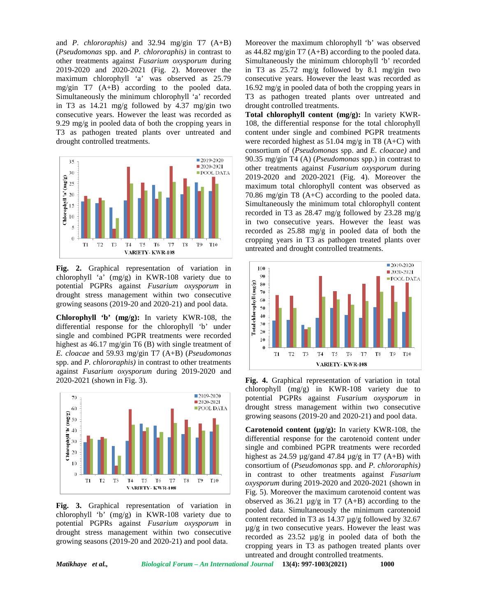and *P. chlororaphis)* and 32.94 mg/gin T7 (A+B) (*Pseudomonas* spp. and *P. chlororaphis)* in contrast to other treatments against *Fusarium oxysporum* during 2019-2020 and 2020-2021 (Fig. 2). Moreover the maximum chlorophyll 'a' was observed as 25.79 mg/gin T7 (A+B) according to the pooled data. Simultaneously the minimum chlorophyll 'a' recorded in T3 as 14.21 mg/g followed by 4.37 mg/gin two consecutive years. However the least was recorded as 9.29 mg/g in pooled data of both the cropping years in T3 as pathogen treated plants over untreated and drought controlled treatments.



**Fig. 2.** Graphical representation of variation in chlorophyll 'a' (mg/g) in KWR-108 variety due to<br>
potential PGPRs against *Fusarium oxysporum* in<br>
drought stress management within two consecutive<br>
growing seasons (2019-20 and 2020-21) and pool data.<br> **Chlorophyll 'b' (** potential PGPRs against *Fusarium oxysporum* in drought stress management within two consecutive growing seasons (2019-20 and 2020-21) and pool data.

**Chlorophyll 'b' (mg/g):** In variety KWR-108, the differential response for the chlorophyll 'b' under single and combined PGPR treatments were recorded  $\begin{bmatrix} 8 & 20 \\ 10 & 10 \end{bmatrix}$ highest as 46.17 mg/gin T6 (B) with single treatment of *E. cloacae* and 59.93 mg/gin T7 (A+B) (*Pseudomonas* spp. and *P. chlororaphis)* in contrast to other treatments against *Fusarium oxysporum* during 2019-2020 and 2020-2021 (shown in Fig. 3).



**Fig. 3.** Graphical representation of variation in chlorophyll 'b' (mg/g) in KWR-108 variety due to potential PGPRs against *Fusarium oxysporum* in drought stress management within two consecutive growing seasons (2019-20 and 2020-21) and pool data.

Moreover the maximum chlorophyll 'b' was observed as 44.82 mg/gin T7 (A+B) according to the pooled data. Simultaneously the minimum chlorophyll 'b' recorded in T3 as 25.72 mg/g followed by 8.1 mg/gin two consecutive years. However the least was recorded as 16.92 mg/g in pooled data of both the cropping years in T3 as pathogen treated plants over untreated and drought controlled treatments.

**Total chlorophyll content (mg/g):** In variety KWR- 108, the differential response for the total chlorophyll content under single and combined PGPR treatments were recorded highest as 51.04 mg/g in T8 (A+C) with consortium of (*Pseudomonas* spp. and *E. cloacae)* and 90.35 mg/gin T4 (A) (*Pseudomonas* spp.) in contrast to other treatments against *Fusarium oxysporum* during 2019-2020 and 2020-2021 (Fig. 4). Moreover the maximum total chlorophyll content was observed as 70.86 mg/gin T8 (A+C) according to the pooled data. Simultaneously the minimum total chlorophyll content recorded in T3 as 28.47 mg/g followed by 23.28 mg/g in two consecutive years. However the least was recorded as 25.88 mg/g in pooled data of both the cropping years in T3 as pathogen treated plants over untreated and drought controlled treatments.



**Fig. 4.** Graphical representation of variation in total chlorophyll (mg/g) in KWR-108 variety due to potential PGPRs against *Fusarium oxysporum* in drought stress management within two consecutive growing seasons (2019-20 and 2020-21) and pool data.

**Carotenoid content (µg/g):** In variety KWR-108, the differential response for the carotenoid content under single and combined PGPR treatments were recorded highest as 24.59  $\mu$ g/gand 47.84  $\mu$ g/g in T7 (A+B) with consortium of (*Pseudomonas* spp. and *P. chlororaphis)* in contrast to other treatments against *Fusarium oxysporum* during 2019-2020 and 2020-2021 (shown in Fig. 5). Moreover the maximum carotenoid content was observed as  $36.21 \mu g/g$  in T7 (A+B) according to the pooled data. Simultaneously the minimum carotenoid content recorded in T3 as 14.37 µg/g followed by 32.67  $\mu$ g/g in two consecutive years. However the least was recorded as 23.52 µg/g in pooled data of both the cropping years in T3 as pathogen treated plants over untreated and drought controlled treatments.

*Matikhaye et al., Biological Forum – An International Journal* **13(4): 997-1003(2021) 1000**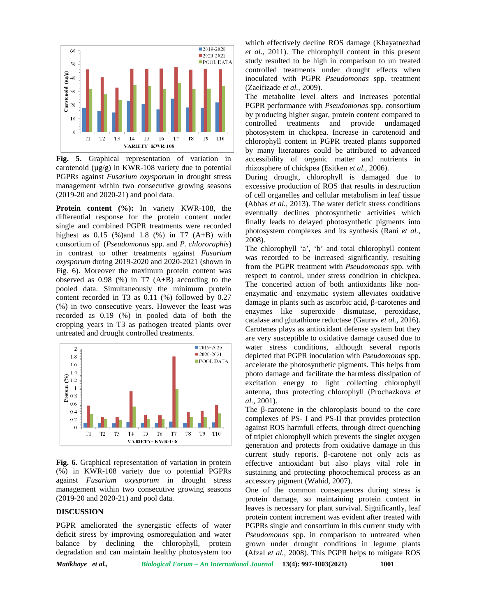

**Fig. 5.** Graphical representation of variation in carotenoid  $(\mu g/g)$  in KWR-108 variety due to potential PGPRs against *Fusarium oxysporum* in drought stress management within two consecutive growing seasons (2019-20 and 2020-21) and pool data.

**Protein content (%):** In variety KWR-108, the differential response for the protein content under single and combined PGPR treatments were recorded highest as  $0.15$  (%) and  $1.8$  (%) in T7 (A+B) with consortium of (*Pseudomonas* spp. and *P. chlororaphis*) in contrast to other treatments against *Fusarium oxysporum* during 2019-2020 and 2020-2021 (shown in Fig. 6). Moreover the maximum protein content was observed as  $0.98$  (%) in T7 (A+B) according to the pooled data. Simultaneously the minimum protein content recorded in T3 as 0.11 (%) followed by 0.27 (%) in two consecutive years. However the least was recorded as 0.19 (%) in pooled data of both the cropping years in T3 as pathogen treated plants over untreated and drought controlled treatments.



**Fig. 6.** Graphical representation of variation in protein (%) in KWR-108 variety due to potential PGPRs against *Fusarium oxysporum* in drought stress management within two consecutive growing seasons (2019-20 and 2020-21) and pool data.

#### **DISCUSSION**

PGPR ameliorated the synergistic effects of water deficit stress by improving osmoregulation and water balance by declining the chlorophyll, protein degradation and can maintain healthy photosystem too

which effectively decline ROS damage (Khayatnezhad *et al.,* 2011). The chlorophyll content in this present study resulted to be high in comparison to un treated controlled treatments under drought effects when inoculated with PGPR *Pseudomonas* spp*.* treatment (Zaeifizade *et al.,* 2009).

The metabolite level alters and increases potential PGPR performance with *Pseudomonas* spp*.* consortium by producing higher sugar, protein content compared to controlled treatments and provide undamaged photosystem in chickpea. Increase in carotenoid and chlorophyll content in PGPR treated plants supported by many literatures could be attributed to advanced accessibility of organic matter and nutrients in rhizosphere of chickpea (Esitken *et al.,* 2006).

During drought, chlorophyll is damaged due to excessive production of ROS that results in destruction of cell organelles and cellular metabolism in leaf tissue **(**Abbas *et al.,* 2013). The water deficit stress conditions eventually declines photosynthetic activities which finally leads to delayed photosynthetic pigments into photosystem complexes and its synthesis (Rani *et al.,* 2008).

The chlorophyll 'a', 'b' and total chlorophyll content was recorded to be increased significantly, resulting from the PGPR treatment with *Pseudomonas* spp*.* with respect to control, under stress condition in chickpea. The concerted action of both antioxidants like non enzymatic and enzymatic system alleviates oxidative damage in plants such as ascorbic acid, -carotenes and enzymes like superoxide dismutase, peroxidase, catalase and glutathione reductase (Gaurav *et al.,* 2016). Carotenes plays as antioxidant defense system but they are very susceptible to oxidative damage caused due to water stress conditions, although several reports depicted that PGPR inoculation with *Pseudomonas* spp*.* accelerate the photosynthetic pigments. This helps from photo damage and facilitate the harmless dissipation of excitation energy to light collecting chlorophyll antenna, thus protecting chlorophyll (Prochazkova *et al.,* 2001).

The -carotene in the chloroplasts bound to the core complexes of PS- I and PS-II that provides protection against ROS harmfull effects, through direct quenching of triplet chlorophyll which prevents the singlet oxygen generation and protects from oxidative damage in this current study reports. -carotene not only acts as effective antioxidant but also plays vital role in sustaining and protecting photochemical process as an accessory pigment (Wahid, 2007).

One of the common consequences during stress is protein damage, so maintaining protein content in leaves is necessary for plant survival. Significantly, leaf protein content increment was evident after treated with PGPRs single and consortium in this current study with *Pseudomonas* spp*.* in comparison to untreated when grown under drought conditions in legume plants **(**Afzal *et al.,* 2008). This PGPR helps to mitigate ROS

*Matikhaye et al., Biological Forum – An International Journal* **13(4): 997-1003(2021) 1001**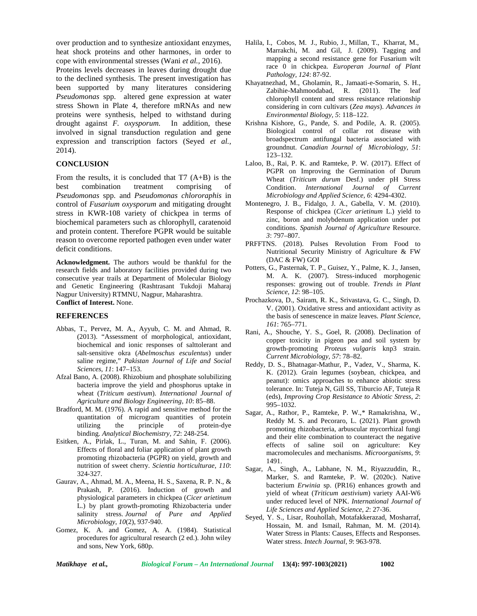over production and to synthesize antioxidant enzymes, heat shock proteins and other harmones, in order to cope with environmental stresses (Wani *et al.,* 2016).

Proteins levels decreases in leaves during drought due to the declined synthesis. The present investigation has been supported by many literatures considering *Pseudomonas* spp*.* altered gene expression at water stress Shown in Plate 4, therefore mRNAs and new proteins were synthesis, helped to withstand during drought against *F. oxysporum.* In addition, these involved in signal transduction regulation and gene expression and transcription factors (Seyed *et al.,* 2014).

#### **CONCLUSION**

From the results, it is concluded that  $T7(A+B)$  is the best combination treatment comprising of *Pseudomonas* spp*.* and *Pseudomonas chlororaphis* in control of *Fusarium oxysporum* and mitigating drought stress in KWR-108 variety of chickpea in terms of biochemical parameters such as chlorophyll, caratenoid and protein content. Therefore PGPR would be suitable reason to overcome reported pathogen even under water deficit conditions.

**Acknowledgment.** The authors would be thankful for the research fields and laboratory facilities provided during two consecutive year trails at Department of Molecular Biology and Genetic Engineering (Rashtrasant Tukdoji Maharaj Nagpur University) RTMNU, Nagpur, Maharashtra. **Conflict of Interest.** None.

#### **REFERENCES**

- Abbas, T., Pervez, M. A., Ayyub, C. M. and Ahmad, R. (2013). "Assessment of morphological, antioxidant, biochemical and ionic responses of salttolerant and salt-sensitive okra (*Abelmoschus esculentus*) under saline regime," *Pakistan Journal of Life and Social Sciences*, *11*: 147–153.
- Afzal Bano, A. (2008). Rhizobium and phosphate solubilizing bacteria improve the yield and phosphorus uptake in wheat (*Triticum aestivum*). *International Journal of Agriculture and Biology Engineering, 10*: 85–88.
- Bradford, M. M. (1976). A rapid and sensitive method for the quantitation of microgram quantities of protein utilizing the principle of protein-dye binding. *Analytical Biochemistry, 72*: 248-254.
- Esitken, A., Pirlak, L., Turan, M. and Sahin, F. (2006). Effects of floral and foliar application of plant growth promoting rhizobacteria (PGPR) on yield, growth and nutrition of sweet cherry. *Scientia horticulturae*, *110*: 324-327.
- Gaurav, A., Ahmad, M. A., Meena, H. S., Saxena, R. P. N., & Prakash, P. (2016). Induction of growth and physiological parameters in chickpea (*Cicer arietinum* L.) by plant growth-promoting Rhizobacteria under salinity stress. *Journal of Pure and Applied Microbiology*, *10*(2), 937-940.
- Gomez, K. A. and Gomez, A. A. (1984). Statistical procedures for agricultural research (2 ed.). John wiley and sons, New York, 680p.
- Halila, I., Cobos, M. J., Rubio, J., Millan, T., Kharrat, M., Marrakchi, M. and Gil, J. (2009). Tagging and mapping a second resistance gene for Fusarium wilt race 0 in chickpea. *Europeran Journal of Plant Pathology, 124*: 87-92.
- Khayatnezhad, M., Gholamin, R., Jamaati-e-Somarin, S. H., Zabihie-Mahmoodabad, R. (2011). The leaf chlorophyll content and stress resistance relationship considering in corn cultivars (*Zea mays*). *Advances in Environmental Biology, 5*: 118–122.
- Krishna Kishore, G., Pande, S. and Podile, A. R. (2005). Biological control of collar rot disease with broadspectrum antifungal bacteria associated with groundnut. *Canadian Journal of Microbiology, 51*: 123–132.
- Laloo, B., Rai, P. K. and Ramteke, P. W. (2017). Effect of PGPR on Improving the Germination of Durum Wheat (*Triticum durum* Desf.) under pH Stress Condition. *International Journal of Current Microbiology and Applied Science, 6*: 4294-4302.
- Montenegro, J. B., Fidalgo, J. A., Gabella, V. M. (2010). Response of chickpea (*Cicer arietinum* L.) yield to zinc, boron and molybdenum application under pot conditions. *Spanish Journal of Agriculture* Resource. *3*: 797–807.
- PRFFTNS. (2018). Pulses Revolution From Food to Nutritional Security Ministry of Agriculture & FW (DAC & FW) GOI
- Potters, G., Pasternak, T. P., Guisez, Y., Palme, K. J., Jansen, M. A. K. (2007). Stress-induced morphogenic responses: growing out of trouble. *Trends in Plant Science, 12*: 98–105.
- Prochazkova, D., Sairam, R. K., Srivastava, G. C., Singh, D. V. (2001). Oxidative stress and antioxidant activity as the basis of senescence in maize leaves. *Plant Science, 161*: 765–771.
- Rani, A., Shouche, Y. S., Goel, R. (2008). Declination of copper toxicity in pigeon pea and soil system by growth-promoting *Proteus vulgaris* knp3 strain. *Current Microbiology, 57*: 78–82.
- Reddy, D. S., Bhatnagar-Mathur, P., Vadez, V., Sharma, K. K. (2012). Grain legumes (soybean, chickpea, and peanut): omics approaches to enhance abiotic stress tolerance. In: Tuteja N, Gill SS, Tiburcio AF, Tuteja R (eds), *Improving Crop Resistance to Abiotic Stress*, *2*: 995–1032.
- Sagar, A., Rathor, P., Ramteke, P. W.,\* Ramakrishna, W., Reddy M. S. and Pecoraro, L. (2021). Plant growth promoting rhizobacteria, arbuscular mycorrhizal fungi and their elite combination to counteract the negative effects of saline soil on agriculture: Key macromolecules and mechanisms. *Microorganisms, 9*: 1491.
- Sagar, A., Singh, A., Labhane, N. M., Riyazzuddin, R., Marker, S. and Ramteke, P. W. (2020c). Native bacterium *Erwinia* sp. (PR16) enhances growth and yield of wheat (*Triticum aestivium*) variety AAI-W6 under reduced level of NPK. *International Journal of Life Sciences and Applied Science, 2*: 27-36.
- Seyed, Y. S., Lisar, Rouhollah, Motafakkerazad, Mosharraf, Hossain, M. and Ismail, Rahman, M. M. (2014). Water Stress in Plants: Causes, Effects and Responses. Water stress. *Intech Journal, 9*: 963-978.

*Matikhaye et al., Biological Forum – An International Journal* **13(4): 997-1003(2021) 1002**